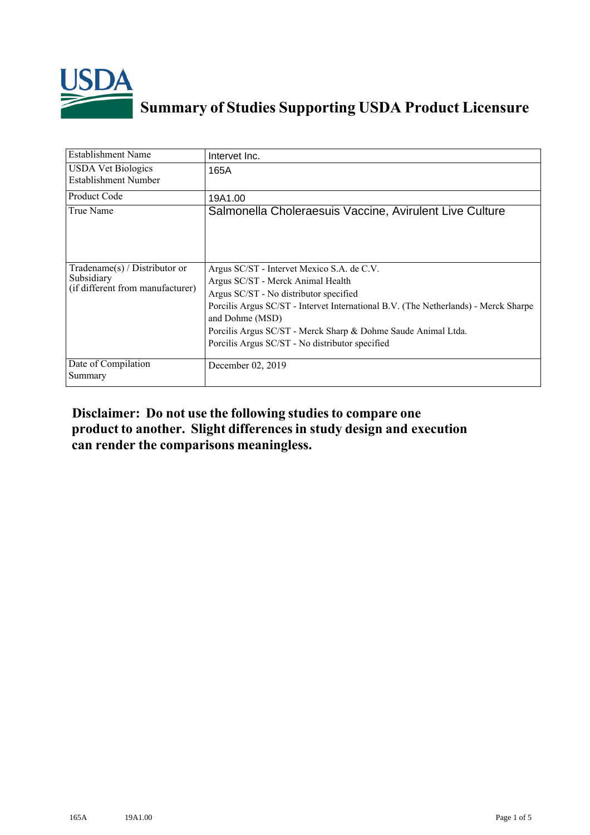

## **Summary of Studies Supporting USDA Product Licensure**

| <b>Establishment Name</b>                                                       | Intervet Inc.                                                                                                                                                                                                                                                                                                                                           |
|---------------------------------------------------------------------------------|---------------------------------------------------------------------------------------------------------------------------------------------------------------------------------------------------------------------------------------------------------------------------------------------------------------------------------------------------------|
| <b>USDA Vet Biologics</b><br>Establishment Number                               | 165A                                                                                                                                                                                                                                                                                                                                                    |
| <b>Product Code</b>                                                             | 19A1.00                                                                                                                                                                                                                                                                                                                                                 |
| True Name                                                                       | Salmonella Choleraesuis Vaccine, Avirulent Live Culture                                                                                                                                                                                                                                                                                                 |
| Tradename(s) / Distributor or<br>Subsidiary<br>(if different from manufacturer) | Argus SC/ST - Intervet Mexico S.A. de C.V.<br>Argus SC/ST - Merck Animal Health<br>Argus SC/ST - No distributor specified<br>Porcilis Argus SC/ST - Intervet International B.V. (The Netherlands) - Merck Sharpe<br>and Dohme (MSD)<br>Porcilis Argus SC/ST - Merck Sharp & Dohme Saude Animal Ltda.<br>Porcilis Argus SC/ST - No distributor specified |
| Date of Compilation<br>Summary                                                  | December 02, 2019                                                                                                                                                                                                                                                                                                                                       |

## **Disclaimer: Do not use the following studiesto compare one product to another. Slight differencesin study design and execution can render the comparisons meaningless.**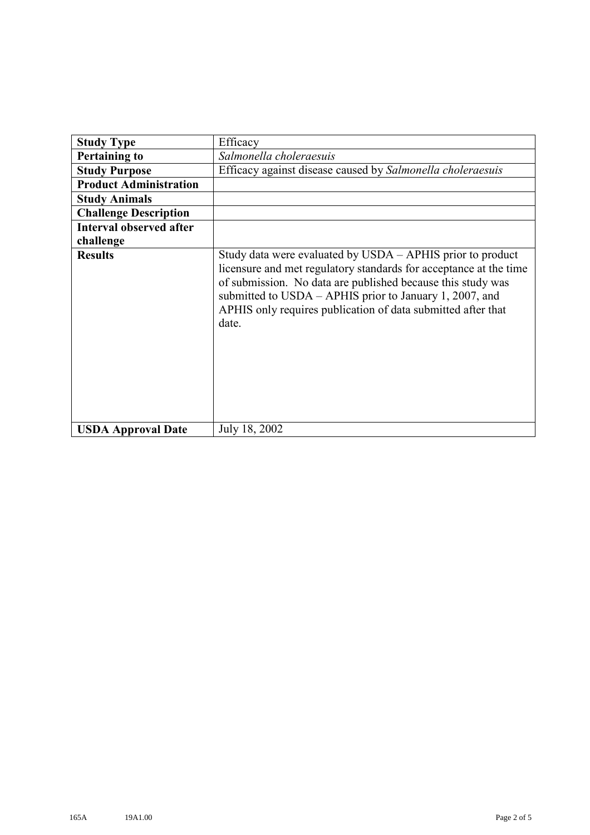| <b>Study Type</b>              | Efficacy                                                                                                                                                                                                                                                                                                                           |
|--------------------------------|------------------------------------------------------------------------------------------------------------------------------------------------------------------------------------------------------------------------------------------------------------------------------------------------------------------------------------|
| <b>Pertaining to</b>           | Salmonella choleraesuis                                                                                                                                                                                                                                                                                                            |
| <b>Study Purpose</b>           | Efficacy against disease caused by Salmonella choleraesuis                                                                                                                                                                                                                                                                         |
| <b>Product Administration</b>  |                                                                                                                                                                                                                                                                                                                                    |
| <b>Study Animals</b>           |                                                                                                                                                                                                                                                                                                                                    |
| <b>Challenge Description</b>   |                                                                                                                                                                                                                                                                                                                                    |
| <b>Interval observed after</b> |                                                                                                                                                                                                                                                                                                                                    |
| challenge                      |                                                                                                                                                                                                                                                                                                                                    |
| <b>Results</b>                 | Study data were evaluated by USDA – APHIS prior to product<br>licensure and met regulatory standards for acceptance at the time<br>of submission. No data are published because this study was<br>submitted to USDA - APHIS prior to January 1, 2007, and<br>APHIS only requires publication of data submitted after that<br>date. |
| <b>USDA Approval Date</b>      | July 18, 2002                                                                                                                                                                                                                                                                                                                      |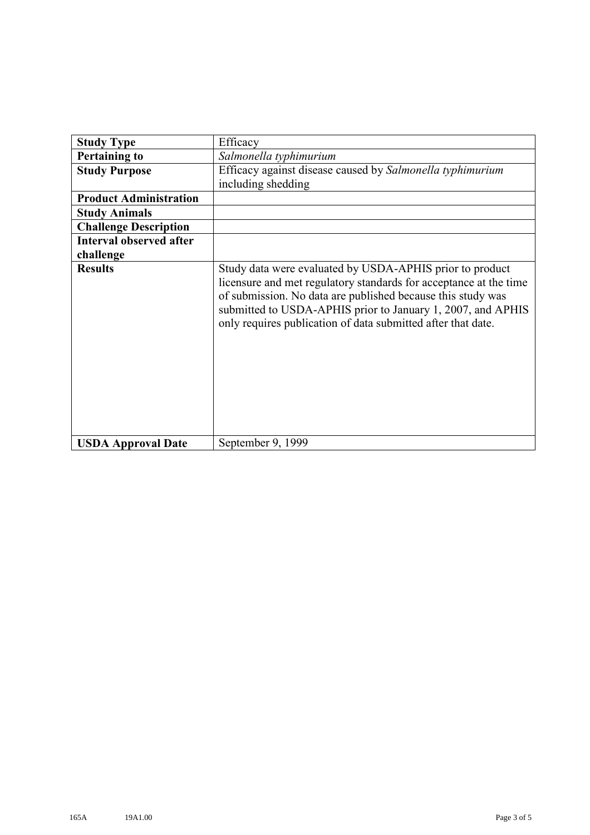| <b>Study Type</b>              | Efficacy                                                                                                                                                                                                                                                                                                                    |
|--------------------------------|-----------------------------------------------------------------------------------------------------------------------------------------------------------------------------------------------------------------------------------------------------------------------------------------------------------------------------|
|                                |                                                                                                                                                                                                                                                                                                                             |
| <b>Pertaining to</b>           | Salmonella typhimurium                                                                                                                                                                                                                                                                                                      |
| <b>Study Purpose</b>           | Efficacy against disease caused by Salmonella typhimurium                                                                                                                                                                                                                                                                   |
|                                | including shedding                                                                                                                                                                                                                                                                                                          |
| <b>Product Administration</b>  |                                                                                                                                                                                                                                                                                                                             |
| <b>Study Animals</b>           |                                                                                                                                                                                                                                                                                                                             |
| <b>Challenge Description</b>   |                                                                                                                                                                                                                                                                                                                             |
| <b>Interval observed after</b> |                                                                                                                                                                                                                                                                                                                             |
| challenge                      |                                                                                                                                                                                                                                                                                                                             |
| <b>Results</b>                 | Study data were evaluated by USDA-APHIS prior to product<br>licensure and met regulatory standards for acceptance at the time<br>of submission. No data are published because this study was<br>submitted to USDA-APHIS prior to January 1, 2007, and APHIS<br>only requires publication of data submitted after that date. |
| <b>USDA Approval Date</b>      | September 9, 1999                                                                                                                                                                                                                                                                                                           |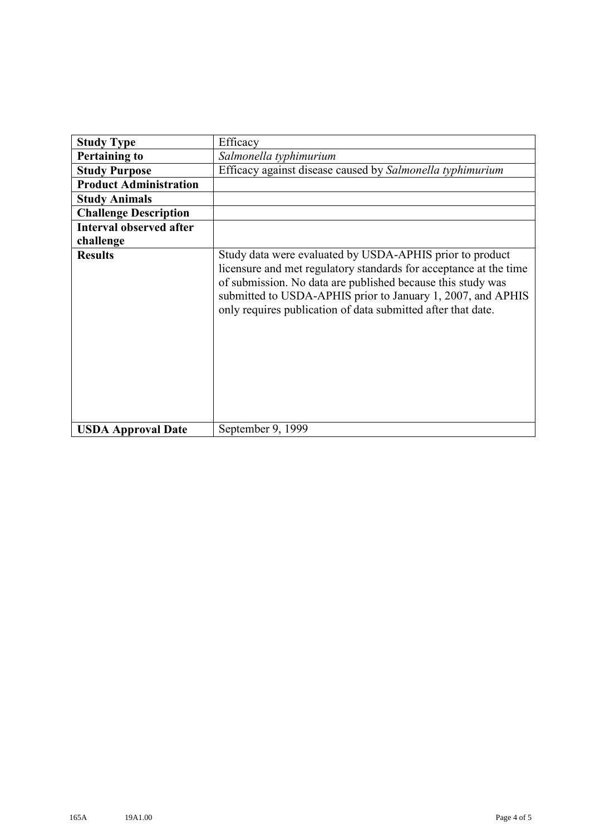| <b>Study Type</b>              | Efficacy                                                                                                                                                                                                                                                                                                                    |
|--------------------------------|-----------------------------------------------------------------------------------------------------------------------------------------------------------------------------------------------------------------------------------------------------------------------------------------------------------------------------|
| <b>Pertaining to</b>           | Salmonella typhimurium                                                                                                                                                                                                                                                                                                      |
| <b>Study Purpose</b>           | Efficacy against disease caused by Salmonella typhimurium                                                                                                                                                                                                                                                                   |
| <b>Product Administration</b>  |                                                                                                                                                                                                                                                                                                                             |
| <b>Study Animals</b>           |                                                                                                                                                                                                                                                                                                                             |
| <b>Challenge Description</b>   |                                                                                                                                                                                                                                                                                                                             |
| <b>Interval observed after</b> |                                                                                                                                                                                                                                                                                                                             |
| challenge                      |                                                                                                                                                                                                                                                                                                                             |
| <b>Results</b>                 | Study data were evaluated by USDA-APHIS prior to product<br>licensure and met regulatory standards for acceptance at the time<br>of submission. No data are published because this study was<br>submitted to USDA-APHIS prior to January 1, 2007, and APHIS<br>only requires publication of data submitted after that date. |
| <b>USDA Approval Date</b>      | September 9, 1999                                                                                                                                                                                                                                                                                                           |